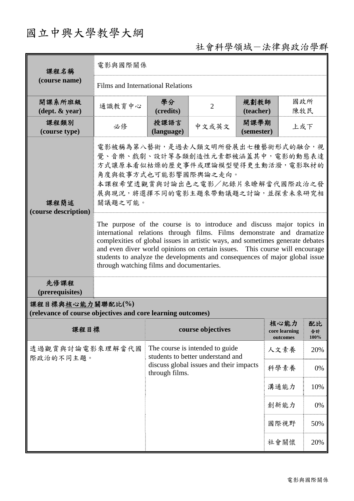# 國立中興大學教學大綱

## 社會科學領域-法律與政治學群

| 課程名稱                                                                            | 電影與國際關係                                                                                                                                                                                                                                                                                                                                                                                                                                      |                                                                                                                                   |                   |                    |                                   |                  |  |
|---------------------------------------------------------------------------------|----------------------------------------------------------------------------------------------------------------------------------------------------------------------------------------------------------------------------------------------------------------------------------------------------------------------------------------------------------------------------------------------------------------------------------------------|-----------------------------------------------------------------------------------------------------------------------------------|-------------------|--------------------|-----------------------------------|------------------|--|
| (course name)                                                                   | Films and International Relations                                                                                                                                                                                                                                                                                                                                                                                                            |                                                                                                                                   |                   |                    |                                   |                  |  |
| 開課系所班級<br>$(\text{dept.} \& \text{ year})$                                      | 通識教育中心                                                                                                                                                                                                                                                                                                                                                                                                                                       | 學分<br>(credits)                                                                                                                   | $\overline{2}$    | 規劃教師<br>(teacher)  | 國政所<br>陳牧民                        |                  |  |
| 課程類別<br>(course type)                                                           | 必修                                                                                                                                                                                                                                                                                                                                                                                                                                           | 授課語言<br>(language)                                                                                                                | 中文或英文             | 開課學期<br>(semester) | 上或下                               |                  |  |
| 課程簡述<br>(course description)                                                    | 電影被稱為第八藝術,是過去人類文明所發展出七種藝術形式的融合,視<br>覺、音樂、戲劇、設計等各類創造性元素都被涵蓋其中,電影的動態表達<br>方式讓原本看似枯燥的歷史事件或理論模型變得更生動活潑, 電影取材的<br>角度與敘事方式也可能影響國際輿論之走向。<br>本課程希望透觀賞與討論出色之電影/紀錄片來瞭解當代國際政治之發<br>展與現況,將選擇不同的電影主題來帶動議題之討論,並探索未來研究相<br>關議題之可能。                                                                                                                                                                                                                          |                                                                                                                                   |                   |                    |                                   |                  |  |
|                                                                                 | The purpose of the course is to introduce and discuss major topics in<br>international relations through films. Films demonstrate and dramatize<br>complexities of global issues in artistic ways, and sometimes generate debates<br>and even diver world opinions on certain issues. This course will encourage<br>students to analyze the developments and consequences of major global issue<br>through watching films and documentaries. |                                                                                                                                   |                   |                    |                                   |                  |  |
| 先修課程<br>(prerequisites)                                                         |                                                                                                                                                                                                                                                                                                                                                                                                                                              |                                                                                                                                   |                   |                    |                                   |                  |  |
| 課程目標與核心能力關聯配比(%)<br>(relevance of course objectives and core learning outcomes) |                                                                                                                                                                                                                                                                                                                                                                                                                                              |                                                                                                                                   |                   |                    |                                   |                  |  |
| 課程目標                                                                            |                                                                                                                                                                                                                                                                                                                                                                                                                                              |                                                                                                                                   | course objectives |                    | 核心能力<br>core learning<br>outcomes | 配比<br>合計<br>100% |  |
| 透過觀賞與討論電影來理解當代國<br>際政治的不同主題。                                                    |                                                                                                                                                                                                                                                                                                                                                                                                                                              | The course is intended to guide<br>students to better understand and<br>discuss global issues and their impacts<br>through films. |                   |                    | 人文素養                              | 20%              |  |
|                                                                                 |                                                                                                                                                                                                                                                                                                                                                                                                                                              |                                                                                                                                   |                   |                    | 科學素養                              | 0%               |  |
|                                                                                 |                                                                                                                                                                                                                                                                                                                                                                                                                                              |                                                                                                                                   |                   |                    | 溝通能力                              | 10%              |  |
|                                                                                 |                                                                                                                                                                                                                                                                                                                                                                                                                                              |                                                                                                                                   |                   |                    | 創新能力                              | 0%               |  |
|                                                                                 |                                                                                                                                                                                                                                                                                                                                                                                                                                              |                                                                                                                                   |                   |                    | 國際視野                              | 50%              |  |
|                                                                                 |                                                                                                                                                                                                                                                                                                                                                                                                                                              |                                                                                                                                   |                   |                    | 社會關懷                              | 20%              |  |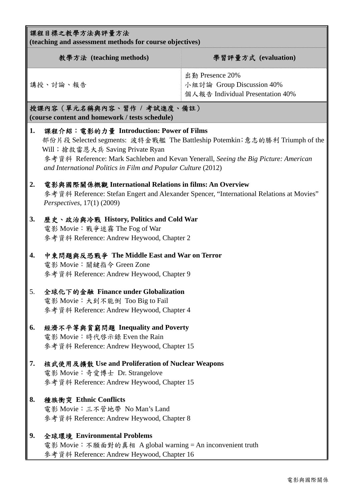| 課程目標之教學方法與評量方法<br>(teaching and assessment methods for course objectives)                                                                                                                                                                                                                                                 |                                                                                                                                                                                           |                                                                                  |  |  |  |  |
|---------------------------------------------------------------------------------------------------------------------------------------------------------------------------------------------------------------------------------------------------------------------------------------------------------------------------|-------------------------------------------------------------------------------------------------------------------------------------------------------------------------------------------|----------------------------------------------------------------------------------|--|--|--|--|
|                                                                                                                                                                                                                                                                                                                           | 教學方法 (teaching methods)                                                                                                                                                                   | 學習評量方式 (evaluation)                                                              |  |  |  |  |
| 講授、討論、報告                                                                                                                                                                                                                                                                                                                  |                                                                                                                                                                                           | 出勤 Presence 20%<br>小組討論 Group Discussion 40%<br>個人報告 Individual Presentation 40% |  |  |  |  |
|                                                                                                                                                                                                                                                                                                                           | 授課內容(單元名稱與內容、習作 / 考試進度、備註)<br>(course content and homework / tests schedule)                                                                                                              |                                                                                  |  |  |  |  |
| 課程介紹: 電影的力量 Introduction: Power of Films<br>1.<br>部份片段 Selected segments: 波特金戰艦 The Battleship Potemkin; 意志的勝利 Triumph of the<br>Will; 搶救雷恩大兵 Saving Private Ryan<br>參考資料 Reference: Mark Sachleben and Kevan Yenerall, Seeing the Big Picture: American<br>and International Politics in Film and Popular Culture (2012) |                                                                                                                                                                                           |                                                                                  |  |  |  |  |
| 2.                                                                                                                                                                                                                                                                                                                        | 電影與國際關係概觀 International Relations in films: An Overview<br>参考資料 Reference: Stefan Engert and Alexander Spencer, "International Relations at Movies"<br><i>Perspectives</i> , 17(1) (2009) |                                                                                  |  |  |  |  |
| 3.                                                                                                                                                                                                                                                                                                                        | 歷史、政治與冷戰 History, Politics and Cold War<br>電影 Movie: 戰爭迷霧 The Fog of War<br>參考資料 Reference: Andrew Heywood, Chapter 2                                                                     |                                                                                  |  |  |  |  |
| 4.                                                                                                                                                                                                                                                                                                                        | 中東問題與反恐戰爭 The Middle East and War on Terror<br>電影 Movie: 關鍵指令 Green Zone<br>參考資料 Reference: Andrew Heywood, Chapter 9                                                                     |                                                                                  |  |  |  |  |
| 5.                                                                                                                                                                                                                                                                                                                        | 全球化下的金融 Finance under Globalization<br>電影 Movie: 大到不能倒 Too Big to Fail<br>參考資料 Reference: Andrew Heywood, Chapter 4                                                                       |                                                                                  |  |  |  |  |
| 6.                                                                                                                                                                                                                                                                                                                        | 經濟不平等與貧窮問題 Inequality and Poverty<br>電影 Movie: 時代啓示錄 Even the Rain<br>參考資料 Reference: Andrew Heywood, Chapter 15                                                                          |                                                                                  |  |  |  |  |
| 7.                                                                                                                                                                                                                                                                                                                        | 核武使用及擴散 Use and Proliferation of Nuclear Weapons<br>電影 Movie: 奇愛博士 Dr. Strangelove<br>參考資料 Reference: Andrew Heywood, Chapter 15                                                          |                                                                                  |  |  |  |  |
| 8.                                                                                                                                                                                                                                                                                                                        | 種族衝突 Ethnic Conflicts<br>電影 Movie: 三不管地帶 No Man's Land<br>參考資料 Reference: Andrew Heywood, Chapter 8                                                                                       |                                                                                  |  |  |  |  |
| 9.                                                                                                                                                                                                                                                                                                                        | 全球環境 Environmental Problems<br>電影 Movie: 不願面對的真相 A global warning = An inconvenient truth<br>參考資料 Reference: Andrew Heywood, Chapter 16                                                   |                                                                                  |  |  |  |  |